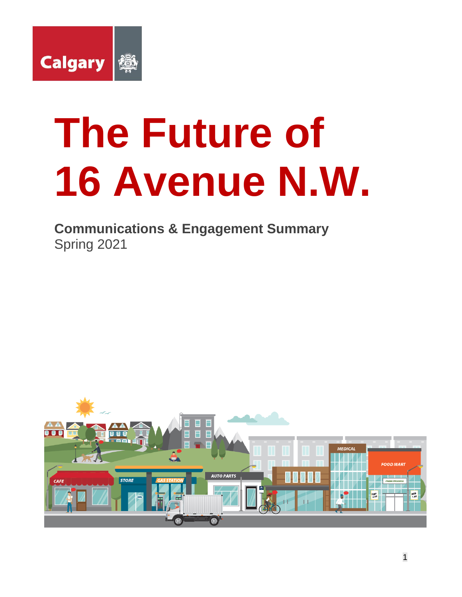

# **The Future of 16 Avenue N.W.**

**Communications & Engagement Summary**  Spring 2021

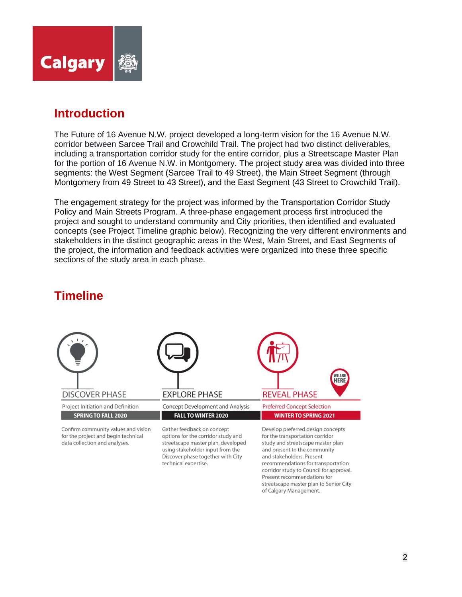

## **Introduction**

The Future of 16 Avenue N.W. project developed a long-term vision for the 16 Avenue N.W. corridor between Sarcee Trail and Crowchild Trail. The project had two distinct deliverables, including a transportation corridor study for the entire corridor, plus a Streetscape Master Plan for the portion of 16 Avenue N.W. in Montgomery. The project study area was divided into three segments: the West Segment (Sarcee Trail to 49 Street), the Main Street Segment (through Montgomery from 49 Street to 43 Street), and the East Segment (43 Street to Crowchild Trail).

The engagement strategy for the project was informed by the Transportation Corridor Study Policy and Main Streets Program. A three-phase engagement process first introduced the project and sought to understand community and City priorities, then identified and evaluated concepts (see Project Timeline graphic below). Recognizing the very different environments and stakeholders in the distinct geographic areas in the West, Main Street, and East Segments of the project, the information and feedback activities were organized into these three specific sections of the study area in each phase.



# **Timeline**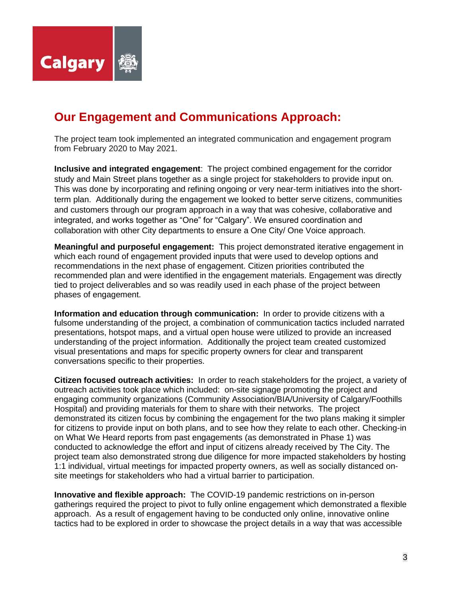

# **Our Engagement and Communications Approach:**

The project team took implemented an integrated communication and engagement program from February 2020 to May 2021.

**Inclusive and integrated engagement**: The project combined engagement for the corridor study and Main Street plans together as a single project for stakeholders to provide input on. This was done by incorporating and refining ongoing or very near-term initiatives into the shortterm plan. Additionally during the engagement we looked to better serve citizens, communities and customers through our program approach in a way that was cohesive, collaborative and integrated, and works together as "One" for "Calgary". We ensured coordination and collaboration with other City departments to ensure a One City/ One Voice approach.

**Meaningful and purposeful engagement:** This project demonstrated iterative engagement in which each round of engagement provided inputs that were used to develop options and recommendations in the next phase of engagement. Citizen priorities contributed the recommended plan and were identified in the engagement materials. Engagement was directly tied to project deliverables and so was readily used in each phase of the project between phases of engagement.

**Information and education through communication:** In order to provide citizens with a fulsome understanding of the project, a combination of communication tactics included narrated presentations, hotspot maps, and a virtual open house were utilized to provide an increased understanding of the project information. Additionally the project team created customized visual presentations and maps for specific property owners for clear and transparent conversations specific to their properties.

**Citizen focused outreach activities:** In order to reach stakeholders for the project, a variety of outreach activities took place which included: on-site signage promoting the project and engaging community organizations (Community Association/BIA/University of Calgary/Foothills Hospital) and providing materials for them to share with their networks. The project demonstrated its citizen focus by combining the engagement for the two plans making it simpler for citizens to provide input on both plans, and to see how they relate to each other. Checking-in on What We Heard reports from past engagements (as demonstrated in Phase 1) was conducted to acknowledge the effort and input of citizens already received by The City. The project team also demonstrated strong due diligence for more impacted stakeholders by hosting 1:1 individual, virtual meetings for impacted property owners, as well as socially distanced onsite meetings for stakeholders who had a virtual barrier to participation.

**Innovative and flexible approach:** The COVID-19 pandemic restrictions on in-person gatherings required the project to pivot to fully online engagement which demonstrated a flexible approach. As a result of engagement having to be conducted only online, innovative online tactics had to be explored in order to showcase the project details in a way that was accessible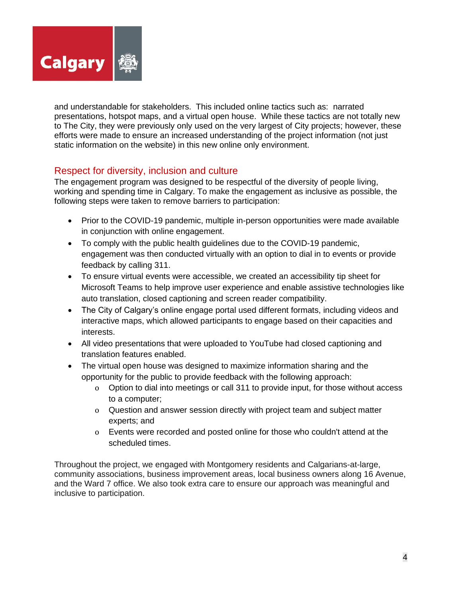

and understandable for stakeholders. This included online tactics such as: narrated presentations, hotspot maps, and a virtual open house. While these tactics are not totally new to The City, they were previously only used on the very largest of City projects; however, these efforts were made to ensure an increased understanding of the project information (not just static information on the website) in this new online only environment.

## Respect for diversity, inclusion and culture

The engagement program was designed to be respectful of the diversity of people living, working and spending time in Calgary. To make the engagement as inclusive as possible, the following steps were taken to remove barriers to participation:

- Prior to the COVID-19 pandemic, multiple in-person opportunities were made available in conjunction with online engagement.
- To comply with the public health guidelines due to the COVID-19 pandemic, engagement was then conducted virtually with an option to dial in to events or provide feedback by calling 311.
- To ensure virtual events were accessible, we created an accessibility tip sheet for Microsoft Teams to help improve user experience and enable assistive technologies like auto translation, closed captioning and screen reader compatibility.
- The City of Calgary's online engage portal used different formats, including videos and interactive maps, which allowed participants to engage based on their capacities and interests.
- All video presentations that were uploaded to YouTube had closed captioning and translation features enabled.
- The virtual open house was designed to maximize information sharing and the opportunity for the public to provide feedback with the following approach:
	- o Option to dial into meetings or call 311 to provide input, for those without access to a computer;
	- o Question and answer session directly with project team and subject matter experts; and
	- o Events were recorded and posted online for those who couldn't attend at the scheduled times.

Throughout the project, we engaged with Montgomery residents and Calgarians-at-large, community associations, business improvement areas, local business owners along 16 Avenue, and the Ward 7 office. We also took extra care to ensure our approach was meaningful and inclusive to participation.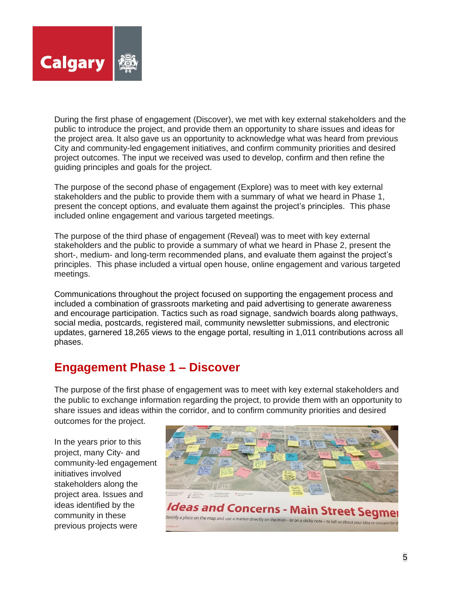

During the first phase of engagement (Discover), we met with key external stakeholders and the public to introduce the project, and provide them an opportunity to share issues and ideas for the project area. It also gave us an opportunity to acknowledge what was heard from previous City and community-led engagement initiatives, and confirm community priorities and desired project outcomes. The input we received was used to develop, confirm and then refine the guiding principles and goals for the project.

The purpose of the second phase of engagement (Explore) was to meet with key external stakeholders and the public to provide them with a summary of what we heard in Phase 1, present the concept options, and evaluate them against the project's principles. This phase included online engagement and various targeted meetings.

The purpose of the third phase of engagement (Reveal) was to meet with key external stakeholders and the public to provide a summary of what we heard in Phase 2, present the short-, medium- and long-term recommended plans, and evaluate them against the project's principles. This phase included a virtual open house, online engagement and various targeted meetings.

Communications throughout the project focused on supporting the engagement process and included a combination of grassroots marketing and paid advertising to generate awareness and encourage participation. Tactics such as road signage, sandwich boards along pathways, social media, postcards, registered mail, community newsletter submissions, and electronic updates, garnered 18,265 views to the engage portal, resulting in 1,011 contributions across all phases.

# **Engagement Phase 1 – Discover**

The purpose of the first phase of engagement was to meet with key external stakeholders and the public to exchange information regarding the project, to provide them with an opportunity to share issues and ideas within the corridor, and to confirm community priorities and desired outcomes for the project.

In the years prior to this project, many City- and community-led engagement initiatives involved stakeholders along the project area. Issues and ideas identified by the community in these previous projects were

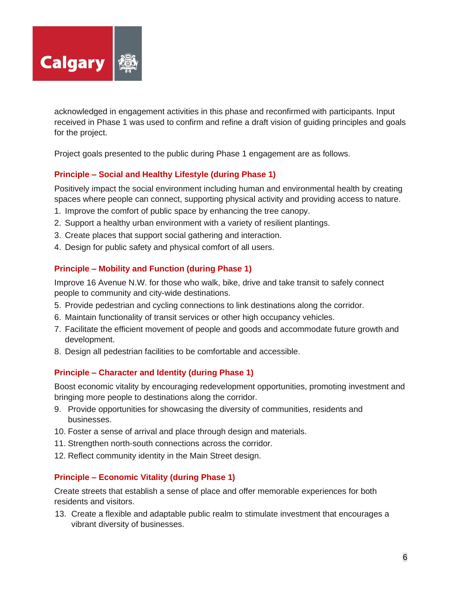

acknowledged in engagement activities in this phase and reconfirmed with participants. Input received in Phase 1 was used to confirm and refine a draft vision of guiding principles and goals for the project.

Project goals presented to the public during Phase 1 engagement are as follows.

## **Principle – Social and Healthy Lifestyle (during Phase 1)**

Positively impact the social environment including human and environmental health by creating spaces where people can connect, supporting physical activity and providing access to nature.

- 1. Improve the comfort of public space by enhancing the tree canopy.
- 2. Support a healthy urban environment with a variety of resilient plantings.
- 3. Create places that support social gathering and interaction.
- 4. Design for public safety and physical comfort of all users.

#### **Principle – Mobility and Function (during Phase 1)**

Improve 16 Avenue N.W. for those who walk, bike, drive and take transit to safely connect people to community and city-wide destinations.

- 5. Provide pedestrian and cycling connections to link destinations along the corridor.
- 6. Maintain functionality of transit services or other high occupancy vehicles.
- 7. Facilitate the efficient movement of people and goods and accommodate future growth and development.
- 8. Design all pedestrian facilities to be comfortable and accessible.

#### **Principle – Character and Identity (during Phase 1)**

Boost economic vitality by encouraging redevelopment opportunities, promoting investment and bringing more people to destinations along the corridor.

- 9. Provide opportunities for showcasing the diversity of communities, residents and businesses.
- 10. Foster a sense of arrival and place through design and materials.
- 11. Strengthen north-south connections across the corridor.
- 12. Reflect community identity in the Main Street design.

#### **Principle – Economic Vitality (during Phase 1)**

Create streets that establish a sense of place and offer memorable experiences for both residents and visitors.

13. Create a flexible and adaptable public realm to stimulate investment that encourages a vibrant diversity of businesses.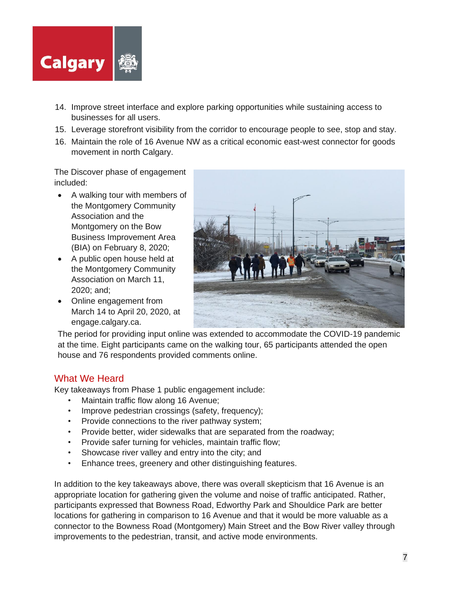

- 14. Improve street interface and explore parking opportunities while sustaining access to businesses for all users.
- 15. Leverage storefront visibility from the corridor to encourage people to see, stop and stay.
- 16. Maintain the role of 16 Avenue NW as a critical economic east-west connector for goods movement in north Calgary.

The Discover phase of engagement included:

- A walking tour with members of the Montgomery Community Association and the Montgomery on the Bow Business Improvement Area (BIA) on February 8, 2020;
- A public open house held at the Montgomery Community Association on March 11, 2020; and;
- Online engagement from March 14 to April 20, 2020, at engage.calgary.ca.



The period for providing input online was extended to accommodate the COVID-19 pandemic at the time. Eight participants came on the walking tour, 65 participants attended the open house and 76 respondents provided comments online.

## What We Heard

Key takeaways from Phase 1 public engagement include:

- Maintain traffic flow along 16 Avenue;
- Improve pedestrian crossings (safety, frequency);
- Provide connections to the river pathway system;
- Provide better, wider sidewalks that are separated from the roadway;
- Provide safer turning for vehicles, maintain traffic flow;
- Showcase river valley and entry into the city; and
- Enhance trees, greenery and other distinguishing features.

In addition to the key takeaways above, there was overall skepticism that 16 Avenue is an appropriate location for gathering given the volume and noise of traffic anticipated. Rather, participants expressed that Bowness Road, Edworthy Park and Shouldice Park are better locations for gathering in comparison to 16 Avenue and that it would be more valuable as a connector to the Bowness Road (Montgomery) Main Street and the Bow River valley through improvements to the pedestrian, transit, and active mode environments.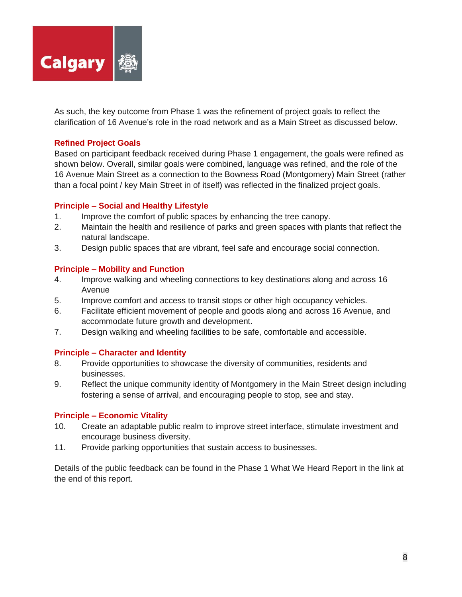

As such, the key outcome from Phase 1 was the refinement of project goals to reflect the clarification of 16 Avenue's role in the road network and as a Main Street as discussed below.

#### **Refined Project Goals**

Based on participant feedback received during Phase 1 engagement, the goals were refined as shown below. Overall, similar goals were combined, language was refined, and the role of the 16 Avenue Main Street as a connection to the Bowness Road (Montgomery) Main Street (rather than a focal point / key Main Street in of itself) was reflected in the finalized project goals.

#### **Principle – Social and Healthy Lifestyle**

- 1. Improve the comfort of public spaces by enhancing the tree canopy.
- 2. Maintain the health and resilience of parks and green spaces with plants that reflect the natural landscape.
- 3. Design public spaces that are vibrant, feel safe and encourage social connection.

#### **Principle – Mobility and Function**

- 4. Improve walking and wheeling connections to key destinations along and across 16 Avenue
- 5. Improve comfort and access to transit stops or other high occupancy vehicles.
- 6. Facilitate efficient movement of people and goods along and across 16 Avenue, and accommodate future growth and development.
- 7. Design walking and wheeling facilities to be safe, comfortable and accessible.

#### **Principle – Character and Identity**

- 8. Provide opportunities to showcase the diversity of communities, residents and businesses.
- 9. Reflect the unique community identity of Montgomery in the Main Street design including fostering a sense of arrival, and encouraging people to stop, see and stay.

#### **Principle – Economic Vitality**

- 10. Create an adaptable public realm to improve street interface, stimulate investment and encourage business diversity.
- 11. Provide parking opportunities that sustain access to businesses.

Details of the public feedback can be found in the Phase 1 What We Heard Report in the link at the end of this report.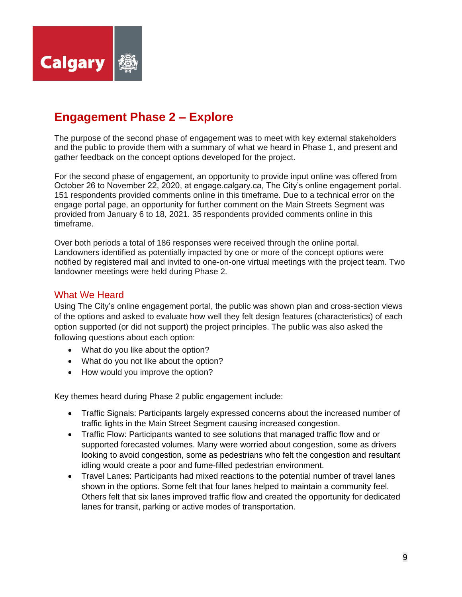

# **Engagement Phase 2 – Explore**

The purpose of the second phase of engagement was to meet with key external stakeholders and the public to provide them with a summary of what we heard in Phase 1, and present and gather feedback on the concept options developed for the project.

For the second phase of engagement, an opportunity to provide input online was offered from October 26 to November 22, 2020, at engage.calgary.ca, The City's online engagement portal. 151 respondents provided comments online in this timeframe. Due to a technical error on the engage portal page, an opportunity for further comment on the Main Streets Segment was provided from January 6 to 18, 2021. 35 respondents provided comments online in this timeframe.

Over both periods a total of 186 responses were received through the online portal. Landowners identified as potentially impacted by one or more of the concept options were notified by registered mail and invited to one-on-one virtual meetings with the project team. Two landowner meetings were held during Phase 2.

## What We Heard

Using The City's online engagement portal, the public was shown plan and cross-section views of the options and asked to evaluate how well they felt design features (characteristics) of each option supported (or did not support) the project principles. The public was also asked the following questions about each option:

- What do you like about the option?
- What do you not like about the option?
- How would you improve the option?

Key themes heard during Phase 2 public engagement include:

- Traffic Signals: Participants largely expressed concerns about the increased number of traffic lights in the Main Street Segment causing increased congestion.
- Traffic Flow: Participants wanted to see solutions that managed traffic flow and or supported forecasted volumes. Many were worried about congestion, some as drivers looking to avoid congestion, some as pedestrians who felt the congestion and resultant idling would create a poor and fume-filled pedestrian environment.
- Travel Lanes: Participants had mixed reactions to the potential number of travel lanes shown in the options. Some felt that four lanes helped to maintain a community feel. Others felt that six lanes improved traffic flow and created the opportunity for dedicated lanes for transit, parking or active modes of transportation.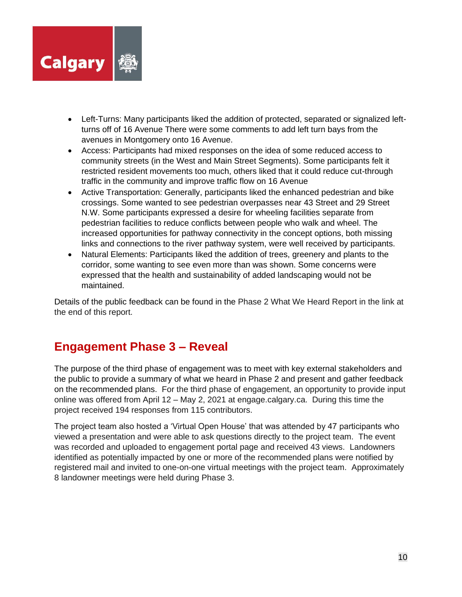

- Left-Turns: Many participants liked the addition of protected, separated or signalized leftturns off of 16 Avenue There were some comments to add left turn bays from the avenues in Montgomery onto 16 Avenue.
- Access: Participants had mixed responses on the idea of some reduced access to community streets (in the West and Main Street Segments). Some participants felt it restricted resident movements too much, others liked that it could reduce cut-through traffic in the community and improve traffic flow on 16 Avenue
- Active Transportation: Generally, participants liked the enhanced pedestrian and bike crossings. Some wanted to see pedestrian overpasses near 43 Street and 29 Street N.W. Some participants expressed a desire for wheeling facilities separate from pedestrian facilities to reduce conflicts between people who walk and wheel. The increased opportunities for pathway connectivity in the concept options, both missing links and connections to the river pathway system, were well received by participants.
- Natural Elements: Participants liked the addition of trees, greenery and plants to the corridor, some wanting to see even more than was shown. Some concerns were expressed that the health and sustainability of added landscaping would not be maintained.

Details of the public feedback can be found in the Phase 2 What We Heard Report in the link at the end of this report.

# **Engagement Phase 3 – Reveal**

The purpose of the third phase of engagement was to meet with key external stakeholders and the public to provide a summary of what we heard in Phase 2 and present and gather feedback on the recommended plans. For the third phase of engagement, an opportunity to provide input online was offered from April 12 – May 2, 2021 at engage.calgary.ca. During this time the project received 194 responses from 115 contributors.

The project team also hosted a 'Virtual Open House' that was attended by 47 participants who viewed a presentation and were able to ask questions directly to the project team. The event was recorded and uploaded to engagement portal page and received 43 views. Landowners identified as potentially impacted by one or more of the recommended plans were notified by registered mail and invited to one-on-one virtual meetings with the project team. Approximately 8 landowner meetings were held during Phase 3.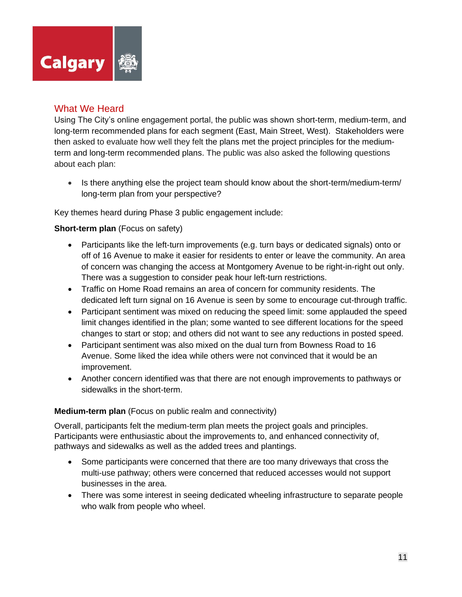

## What We Heard

Using The City's online engagement portal, the public was shown short-term, medium-term, and long-term recommended plans for each segment (East, Main Street, West). Stakeholders were then asked to evaluate how well they felt the plans met the project principles for the mediumterm and long-term recommended plans. The public was also asked the following questions about each plan:

• Is there anything else the project team should know about the short-term/medium-term/ long-term plan from your perspective?

Key themes heard during Phase 3 public engagement include:

#### **Short-term plan** (Focus on safety)

- Participants like the left-turn improvements (e.g. turn bays or dedicated signals) onto or off of 16 Avenue to make it easier for residents to enter or leave the community. An area of concern was changing the access at Montgomery Avenue to be right-in-right out only. There was a suggestion to consider peak hour left-turn restrictions.
- Traffic on Home Road remains an area of concern for community residents. The dedicated left turn signal on 16 Avenue is seen by some to encourage cut-through traffic.
- Participant sentiment was mixed on reducing the speed limit: some applauded the speed limit changes identified in the plan; some wanted to see different locations for the speed changes to start or stop; and others did not want to see any reductions in posted speed.
- Participant sentiment was also mixed on the dual turn from Bowness Road to 16 Avenue. Some liked the idea while others were not convinced that it would be an improvement.
- Another concern identified was that there are not enough improvements to pathways or sidewalks in the short-term.

### **Medium-term plan** (Focus on public realm and connectivity)

Overall, participants felt the medium-term plan meets the project goals and principles. Participants were enthusiastic about the improvements to, and enhanced connectivity of, pathways and sidewalks as well as the added trees and plantings.

- Some participants were concerned that there are too many driveways that cross the multi-use pathway; others were concerned that reduced accesses would not support businesses in the area.
- There was some interest in seeing dedicated wheeling infrastructure to separate people who walk from people who wheel.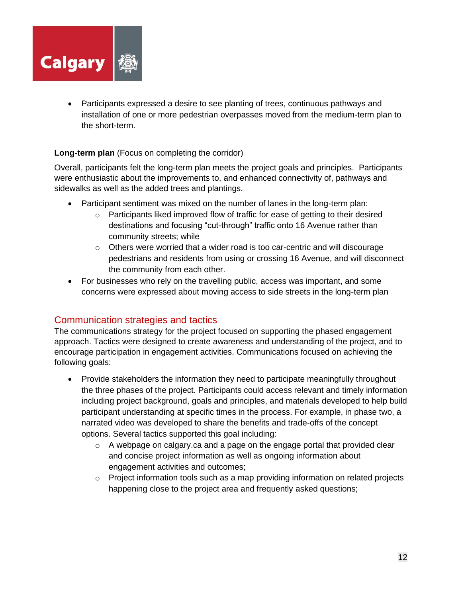

• Participants expressed a desire to see planting of trees, continuous pathways and installation of one or more pedestrian overpasses moved from the medium-term plan to the short-term.

### **Long-term plan** (Focus on completing the corridor)

Overall, participants felt the long-term plan meets the project goals and principles. Participants were enthusiastic about the improvements to, and enhanced connectivity of, pathways and sidewalks as well as the added trees and plantings.

- Participant sentiment was mixed on the number of lanes in the long-term plan:
	- $\circ$  Participants liked improved flow of traffic for ease of getting to their desired destinations and focusing "cut-through" traffic onto 16 Avenue rather than community streets; while
	- $\circ$  Others were worried that a wider road is too car-centric and will discourage pedestrians and residents from using or crossing 16 Avenue, and will disconnect the community from each other.
- For businesses who rely on the travelling public, access was important, and some concerns were expressed about moving access to side streets in the long-term plan

## Communication strategies and tactics

The communications strategy for the project focused on supporting the phased engagement approach. Tactics were designed to create awareness and understanding of the project, and to encourage participation in engagement activities. Communications focused on achieving the following goals:

- Provide stakeholders the information they need to participate meaningfully throughout the three phases of the project. Participants could access relevant and timely information including project background, goals and principles, and materials developed to help build participant understanding at specific times in the process. For example, in phase two, a narrated video was developed to share the benefits and trade-offs of the concept options. Several tactics supported this goal including:
	- $\circ$  A webpage on calgary.ca and a page on the engage portal that provided clear and concise project information as well as ongoing information about engagement activities and outcomes;
	- $\circ$  Project information tools such as a map providing information on related projects happening close to the project area and frequently asked questions;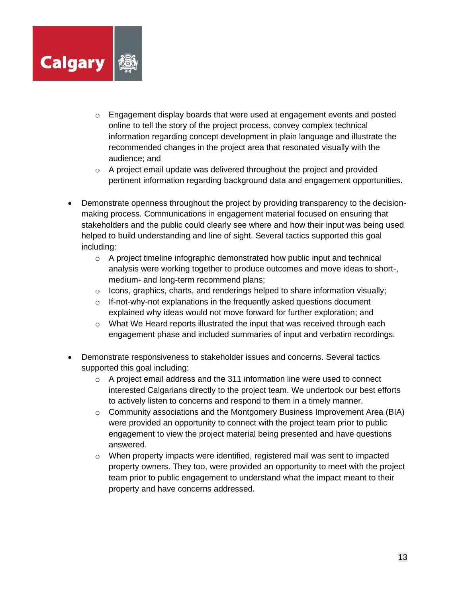

- $\circ$  Engagement display boards that were used at engagement events and posted online to tell the story of the project process, convey complex technical information regarding concept development in plain language and illustrate the recommended changes in the project area that resonated visually with the audience; and
- $\circ$  A project email update was delivered throughout the project and provided pertinent information regarding background data and engagement opportunities.
- Demonstrate openness throughout the project by providing transparency to the decisionmaking process. Communications in engagement material focused on ensuring that stakeholders and the public could clearly see where and how their input was being used helped to build understanding and line of sight. Several tactics supported this goal including:
	- $\circ$  A project timeline infographic demonstrated how public input and technical analysis were working together to produce outcomes and move ideas to short-, medium- and long-term recommend plans;
	- $\circ$  Icons, graphics, charts, and renderings helped to share information visually;
	- o If-not-why-not explanations in the frequently asked questions document explained why ideas would not move forward for further exploration; and
	- o What We Heard reports illustrated the input that was received through each engagement phase and included summaries of input and verbatim recordings.
- Demonstrate responsiveness to stakeholder issues and concerns. Several tactics supported this goal including:
	- $\circ$  A project email address and the 311 information line were used to connect interested Calgarians directly to the project team. We undertook our best efforts to actively listen to concerns and respond to them in a timely manner.
	- $\circ$  Community associations and the Montgomery Business Improvement Area (BIA) were provided an opportunity to connect with the project team prior to public engagement to view the project material being presented and have questions answered.
	- o When property impacts were identified, registered mail was sent to impacted property owners. They too, were provided an opportunity to meet with the project team prior to public engagement to understand what the impact meant to their property and have concerns addressed.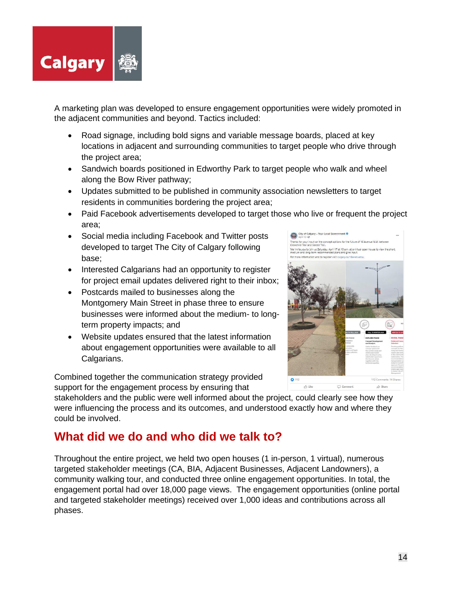

A marketing plan was developed to ensure engagement opportunities were widely promoted in the adjacent communities and beyond. Tactics included:

- Road signage, including bold signs and variable message boards, placed at key locations in adjacent and surrounding communities to target people who drive through the project area;
- Sandwich boards positioned in Edworthy Park to target people who walk and wheel along the Bow River pathway;
- Updates submitted to be published in community association newsletters to target residents in communities bordering the project area;
- Paid Facebook advertisements developed to target those who live or frequent the project area;
- Social media including Facebook and Twitter posts developed to target The City of Calgary following base;
- Interested Calgarians had an opportunity to register for project email updates delivered right to their inbox;
- Postcards mailed to businesses along the Montgomery Main Street in phase three to ensure businesses were informed about the medium- to longterm property impacts; and
- Website updates ensured that the latest information about engagement opportunities were available to all Calgarians.

Combined together the communication strategy provided support for the engagement process by ensuring that

stakeholders and the public were well informed about the project, could clearly see how they were influencing the process and its outcomes, and understood exactly how and where they could be involved.

# **What did we do and who did we talk to?**

Throughout the entire project, we held two open houses (1 in-person, 1 virtual), numerous targeted stakeholder meetings (CA, BIA, Adjacent Businesses, Adjacent Landowners), a community walking tour, and conducted three online engagement opportunities. In total, the engagement portal had over 18,000 page views. The engagement opportunities (online portal and targeted stakeholder meetings) received over 1,000 ideas and contributions across all phases.

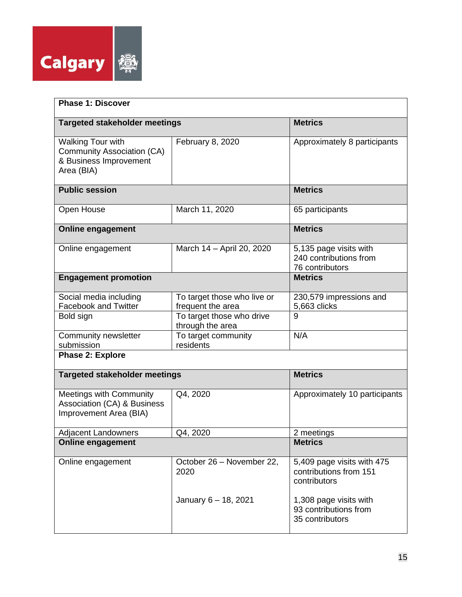

| <b>Phase 1: Discover</b>                                                                              |                                                  |                                                                      |  |  |
|-------------------------------------------------------------------------------------------------------|--------------------------------------------------|----------------------------------------------------------------------|--|--|
| <b>Targeted stakeholder meetings</b>                                                                  |                                                  | <b>Metrics</b>                                                       |  |  |
| <b>Walking Tour with</b><br><b>Community Association (CA)</b><br>& Business Improvement<br>Area (BIA) | February 8, 2020                                 | Approximately 8 participants                                         |  |  |
| <b>Public session</b>                                                                                 |                                                  | <b>Metrics</b>                                                       |  |  |
| Open House                                                                                            | March 11, 2020                                   | 65 participants                                                      |  |  |
| <b>Online engagement</b>                                                                              |                                                  | <b>Metrics</b>                                                       |  |  |
| Online engagement                                                                                     | March 14 - April 20, 2020                        | 5,135 page visits with<br>240 contributions from<br>76 contributors  |  |  |
| <b>Engagement promotion</b>                                                                           |                                                  | <b>Metrics</b>                                                       |  |  |
| Social media including<br><b>Facebook and Twitter</b>                                                 | To target those who live or<br>frequent the area | 230,579 impressions and<br>5,663 clicks                              |  |  |
| Bold sign                                                                                             | To target those who drive<br>through the area    | 9                                                                    |  |  |
| Community newsletter<br>submission                                                                    | To target community<br>residents                 | N/A                                                                  |  |  |
| <b>Phase 2: Explore</b>                                                                               |                                                  |                                                                      |  |  |
| <b>Targeted stakeholder meetings</b>                                                                  |                                                  | <b>Metrics</b>                                                       |  |  |
| <b>Meetings with Community</b><br>Association (CA) & Business<br>Improvement Area (BIA)               | Q4, 2020                                         | Approximately 10 participants                                        |  |  |
| <b>Adjacent Landowners</b>                                                                            | Q4, 2020                                         | 2 meetings                                                           |  |  |
| <b>Online engagement</b>                                                                              |                                                  | <b>Metrics</b>                                                       |  |  |
| Online engagement                                                                                     | October 26 - November 22,<br>2020                | 5,409 page visits with 475<br>contributions from 151<br>contributors |  |  |
|                                                                                                       | January 6 - 18, 2021                             | 1,308 page visits with<br>93 contributions from<br>35 contributors   |  |  |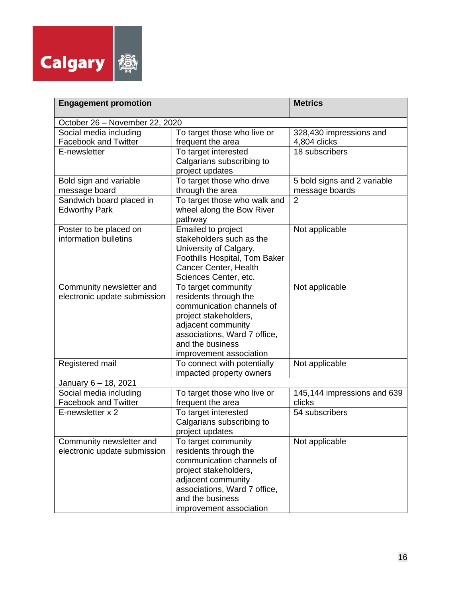

| <b>Engagement promotion</b>                              |                                                                                                                                                                                                         | <b>Metrics</b>                                |
|----------------------------------------------------------|---------------------------------------------------------------------------------------------------------------------------------------------------------------------------------------------------------|-----------------------------------------------|
| October 26 - November 22, 2020                           |                                                                                                                                                                                                         |                                               |
| Social media including<br><b>Facebook and Twitter</b>    | To target those who live or<br>frequent the area                                                                                                                                                        | 328,430 impressions and<br>4,804 clicks       |
| E-newsletter                                             | To target interested<br>Calgarians subscribing to<br>project updates                                                                                                                                    | 18 subscribers                                |
| Bold sign and variable<br>message board                  | To target those who drive<br>through the area                                                                                                                                                           | 5 bold signs and 2 variable<br>message boards |
| Sandwich board placed in<br><b>Edworthy Park</b>         | To target those who walk and<br>wheel along the Bow River<br>pathway                                                                                                                                    | $\overline{2}$                                |
| Poster to be placed on<br>information bulletins          | <b>Emailed to project</b><br>stakeholders such as the<br>University of Calgary,<br>Foothills Hospital, Tom Baker<br>Cancer Center, Health<br>Sciences Center, etc.                                      | Not applicable                                |
| Community newsletter and<br>electronic update submission | To target community<br>residents through the<br>communication channels of<br>project stakeholders,<br>adjacent community<br>associations, Ward 7 office,<br>and the business<br>improvement association | Not applicable                                |
| Registered mail                                          | To connect with potentially<br>impacted property owners                                                                                                                                                 | Not applicable                                |
| January 6 - 18, 2021                                     |                                                                                                                                                                                                         |                                               |
| Social media including<br><b>Facebook and Twitter</b>    | To target those who live or<br>frequent the area                                                                                                                                                        | 145,144 impressions and 639<br>clicks         |
| E-newsletter x 2                                         | To target interested<br>Calgarians subscribing to<br>project updates                                                                                                                                    | 54 subscribers                                |
| Community newsletter and<br>electronic update submission | To target community<br>residents through the<br>communication channels of<br>project stakeholders,<br>adjacent community<br>associations, Ward 7 office,<br>and the business<br>improvement association | Not applicable                                |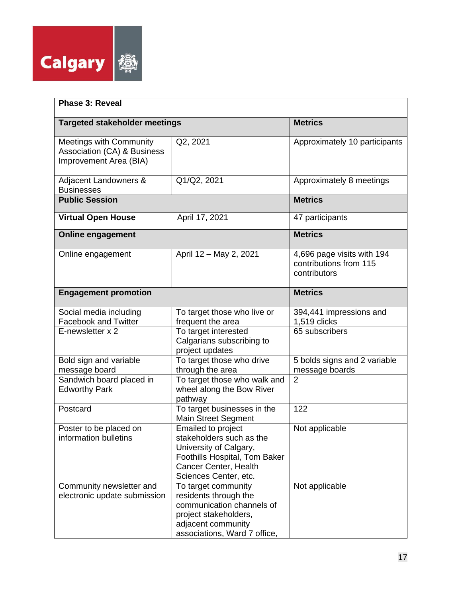

| <b>Phase 3: Reveal</b>                                                                      |                                                                                                                                                                    |                                                                      |  |  |
|---------------------------------------------------------------------------------------------|--------------------------------------------------------------------------------------------------------------------------------------------------------------------|----------------------------------------------------------------------|--|--|
| <b>Targeted stakeholder meetings</b>                                                        |                                                                                                                                                                    | <b>Metrics</b>                                                       |  |  |
| <b>Meetings with Community</b><br>Association (CA) & Business<br>Improvement Area (BIA)     | Q2, 2021                                                                                                                                                           | Approximately 10 participants                                        |  |  |
| Adjacent Landowners &<br><b>Businesses</b>                                                  | Q1/Q2, 2021                                                                                                                                                        | Approximately 8 meetings                                             |  |  |
| <b>Public Session</b>                                                                       |                                                                                                                                                                    | <b>Metrics</b>                                                       |  |  |
| <b>Virtual Open House</b>                                                                   | April 17, 2021                                                                                                                                                     | 47 participants                                                      |  |  |
| <b>Online engagement</b>                                                                    |                                                                                                                                                                    | <b>Metrics</b>                                                       |  |  |
| Online engagement                                                                           | April 12 - May 2, 2021                                                                                                                                             | 4,696 page visits with 194<br>contributions from 115<br>contributors |  |  |
| <b>Engagement promotion</b>                                                                 |                                                                                                                                                                    | <b>Metrics</b>                                                       |  |  |
| Social media including<br><b>Facebook and Twitter</b><br>E-newsletter x 2                   | To target those who live or<br>frequent the area<br>To target interested<br>Calgarians subscribing to<br>project updates                                           | 394,441 impressions and<br>1,519 clicks<br>65 subscribers            |  |  |
| Bold sign and variable<br>message board<br>Sandwich board placed in<br><b>Edworthy Park</b> | To target those who drive<br>through the area<br>To target those who walk and<br>wheel along the Bow River                                                         | 5 bolds signs and 2 variable<br>message boards<br>$\overline{2}$     |  |  |
| Postcard                                                                                    | pathway<br>To target businesses in the<br><b>Main Street Segment</b>                                                                                               | 122                                                                  |  |  |
| Poster to be placed on<br>information bulletins                                             | <b>Emailed to project</b><br>stakeholders such as the<br>University of Calgary,<br>Foothills Hospital, Tom Baker<br>Cancer Center, Health<br>Sciences Center, etc. | Not applicable                                                       |  |  |
| Community newsletter and<br>electronic update submission                                    | To target community<br>residents through the<br>communication channels of<br>project stakeholders,<br>adjacent community<br>associations, Ward 7 office,           | Not applicable                                                       |  |  |